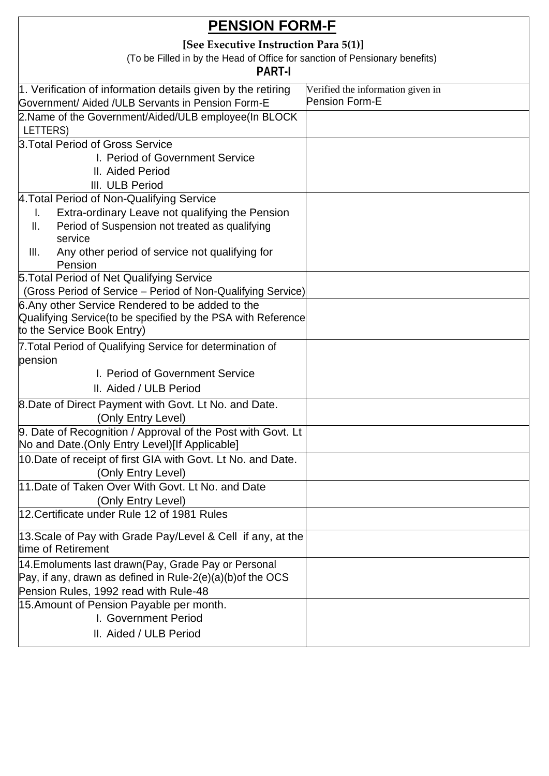| [See Executive Instruction Para 5(1)]<br>(To be Filled in by the Head of Office for sanction of Pensionary benefits)<br><b>PART-I</b><br>1. Verification of information details given by the retiring<br>Verified the information given in<br><b>Pension Form-E</b><br>Government/ Aided /ULB Servants in Pension Form-E<br>2. Name of the Government/Aided/ULB employee(In BLOCK<br>LETTERS)<br>3. Total Period of Gross Service<br>I. Period of Government Service<br>II. Aided Period<br>III. ULB Period<br>4. Total Period of Non-Qualifying Service<br>Extra-ordinary Leave not qualifying the Pension<br>ı.<br>Period of Suspension not treated as qualifying<br>Ш.<br>service<br>III.<br>Any other period of service not qualifying for<br>Pension<br>5. Total Period of Net Qualifying Service<br>(Gross Period of Service – Period of Non-Qualifying Service)<br>6. Any other Service Rendered to be added to the<br>Qualifying Service (to be specified by the PSA with Reference<br>to the Service Book Entry)<br>7. Total Period of Qualifying Service for determination of<br>pension<br>I. Period of Government Service<br>II. Aided / ULB Period<br>8. Date of Direct Payment with Govt. Lt No. and Date.<br>(Only Entry Level)<br>9. Date of Recognition / Approval of the Post with Govt. Lt<br>No and Date. (Only Entry Level)[If Applicable]<br>10. Date of receipt of first GIA with Govt. Lt No. and Date.<br>(Only Entry Level) |
|-------------------------------------------------------------------------------------------------------------------------------------------------------------------------------------------------------------------------------------------------------------------------------------------------------------------------------------------------------------------------------------------------------------------------------------------------------------------------------------------------------------------------------------------------------------------------------------------------------------------------------------------------------------------------------------------------------------------------------------------------------------------------------------------------------------------------------------------------------------------------------------------------------------------------------------------------------------------------------------------------------------------------------------------------------------------------------------------------------------------------------------------------------------------------------------------------------------------------------------------------------------------------------------------------------------------------------------------------------------------------------------------------------------------------------------------------------|
|                                                                                                                                                                                                                                                                                                                                                                                                                                                                                                                                                                                                                                                                                                                                                                                                                                                                                                                                                                                                                                                                                                                                                                                                                                                                                                                                                                                                                                                       |
|                                                                                                                                                                                                                                                                                                                                                                                                                                                                                                                                                                                                                                                                                                                                                                                                                                                                                                                                                                                                                                                                                                                                                                                                                                                                                                                                                                                                                                                       |
|                                                                                                                                                                                                                                                                                                                                                                                                                                                                                                                                                                                                                                                                                                                                                                                                                                                                                                                                                                                                                                                                                                                                                                                                                                                                                                                                                                                                                                                       |
|                                                                                                                                                                                                                                                                                                                                                                                                                                                                                                                                                                                                                                                                                                                                                                                                                                                                                                                                                                                                                                                                                                                                                                                                                                                                                                                                                                                                                                                       |
|                                                                                                                                                                                                                                                                                                                                                                                                                                                                                                                                                                                                                                                                                                                                                                                                                                                                                                                                                                                                                                                                                                                                                                                                                                                                                                                                                                                                                                                       |
|                                                                                                                                                                                                                                                                                                                                                                                                                                                                                                                                                                                                                                                                                                                                                                                                                                                                                                                                                                                                                                                                                                                                                                                                                                                                                                                                                                                                                                                       |
|                                                                                                                                                                                                                                                                                                                                                                                                                                                                                                                                                                                                                                                                                                                                                                                                                                                                                                                                                                                                                                                                                                                                                                                                                                                                                                                                                                                                                                                       |
|                                                                                                                                                                                                                                                                                                                                                                                                                                                                                                                                                                                                                                                                                                                                                                                                                                                                                                                                                                                                                                                                                                                                                                                                                                                                                                                                                                                                                                                       |
|                                                                                                                                                                                                                                                                                                                                                                                                                                                                                                                                                                                                                                                                                                                                                                                                                                                                                                                                                                                                                                                                                                                                                                                                                                                                                                                                                                                                                                                       |
|                                                                                                                                                                                                                                                                                                                                                                                                                                                                                                                                                                                                                                                                                                                                                                                                                                                                                                                                                                                                                                                                                                                                                                                                                                                                                                                                                                                                                                                       |
|                                                                                                                                                                                                                                                                                                                                                                                                                                                                                                                                                                                                                                                                                                                                                                                                                                                                                                                                                                                                                                                                                                                                                                                                                                                                                                                                                                                                                                                       |
|                                                                                                                                                                                                                                                                                                                                                                                                                                                                                                                                                                                                                                                                                                                                                                                                                                                                                                                                                                                                                                                                                                                                                                                                                                                                                                                                                                                                                                                       |
|                                                                                                                                                                                                                                                                                                                                                                                                                                                                                                                                                                                                                                                                                                                                                                                                                                                                                                                                                                                                                                                                                                                                                                                                                                                                                                                                                                                                                                                       |
|                                                                                                                                                                                                                                                                                                                                                                                                                                                                                                                                                                                                                                                                                                                                                                                                                                                                                                                                                                                                                                                                                                                                                                                                                                                                                                                                                                                                                                                       |
|                                                                                                                                                                                                                                                                                                                                                                                                                                                                                                                                                                                                                                                                                                                                                                                                                                                                                                                                                                                                                                                                                                                                                                                                                                                                                                                                                                                                                                                       |
|                                                                                                                                                                                                                                                                                                                                                                                                                                                                                                                                                                                                                                                                                                                                                                                                                                                                                                                                                                                                                                                                                                                                                                                                                                                                                                                                                                                                                                                       |
|                                                                                                                                                                                                                                                                                                                                                                                                                                                                                                                                                                                                                                                                                                                                                                                                                                                                                                                                                                                                                                                                                                                                                                                                                                                                                                                                                                                                                                                       |
|                                                                                                                                                                                                                                                                                                                                                                                                                                                                                                                                                                                                                                                                                                                                                                                                                                                                                                                                                                                                                                                                                                                                                                                                                                                                                                                                                                                                                                                       |
|                                                                                                                                                                                                                                                                                                                                                                                                                                                                                                                                                                                                                                                                                                                                                                                                                                                                                                                                                                                                                                                                                                                                                                                                                                                                                                                                                                                                                                                       |
|                                                                                                                                                                                                                                                                                                                                                                                                                                                                                                                                                                                                                                                                                                                                                                                                                                                                                                                                                                                                                                                                                                                                                                                                                                                                                                                                                                                                                                                       |
|                                                                                                                                                                                                                                                                                                                                                                                                                                                                                                                                                                                                                                                                                                                                                                                                                                                                                                                                                                                                                                                                                                                                                                                                                                                                                                                                                                                                                                                       |
|                                                                                                                                                                                                                                                                                                                                                                                                                                                                                                                                                                                                                                                                                                                                                                                                                                                                                                                                                                                                                                                                                                                                                                                                                                                                                                                                                                                                                                                       |
|                                                                                                                                                                                                                                                                                                                                                                                                                                                                                                                                                                                                                                                                                                                                                                                                                                                                                                                                                                                                                                                                                                                                                                                                                                                                                                                                                                                                                                                       |
|                                                                                                                                                                                                                                                                                                                                                                                                                                                                                                                                                                                                                                                                                                                                                                                                                                                                                                                                                                                                                                                                                                                                                                                                                                                                                                                                                                                                                                                       |
|                                                                                                                                                                                                                                                                                                                                                                                                                                                                                                                                                                                                                                                                                                                                                                                                                                                                                                                                                                                                                                                                                                                                                                                                                                                                                                                                                                                                                                                       |
|                                                                                                                                                                                                                                                                                                                                                                                                                                                                                                                                                                                                                                                                                                                                                                                                                                                                                                                                                                                                                                                                                                                                                                                                                                                                                                                                                                                                                                                       |
|                                                                                                                                                                                                                                                                                                                                                                                                                                                                                                                                                                                                                                                                                                                                                                                                                                                                                                                                                                                                                                                                                                                                                                                                                                                                                                                                                                                                                                                       |
|                                                                                                                                                                                                                                                                                                                                                                                                                                                                                                                                                                                                                                                                                                                                                                                                                                                                                                                                                                                                                                                                                                                                                                                                                                                                                                                                                                                                                                                       |
| 11. Date of Taken Over With Govt. Lt No. and Date                                                                                                                                                                                                                                                                                                                                                                                                                                                                                                                                                                                                                                                                                                                                                                                                                                                                                                                                                                                                                                                                                                                                                                                                                                                                                                                                                                                                     |
| (Only Entry Level)                                                                                                                                                                                                                                                                                                                                                                                                                                                                                                                                                                                                                                                                                                                                                                                                                                                                                                                                                                                                                                                                                                                                                                                                                                                                                                                                                                                                                                    |
| 12. Certificate under Rule 12 of 1981 Rules                                                                                                                                                                                                                                                                                                                                                                                                                                                                                                                                                                                                                                                                                                                                                                                                                                                                                                                                                                                                                                                                                                                                                                                                                                                                                                                                                                                                           |
| 13. Scale of Pay with Grade Pay/Level & Cell if any, at the                                                                                                                                                                                                                                                                                                                                                                                                                                                                                                                                                                                                                                                                                                                                                                                                                                                                                                                                                                                                                                                                                                                                                                                                                                                                                                                                                                                           |
| time of Retirement                                                                                                                                                                                                                                                                                                                                                                                                                                                                                                                                                                                                                                                                                                                                                                                                                                                                                                                                                                                                                                                                                                                                                                                                                                                                                                                                                                                                                                    |
| 14. Emoluments last drawn (Pay, Grade Pay or Personal                                                                                                                                                                                                                                                                                                                                                                                                                                                                                                                                                                                                                                                                                                                                                                                                                                                                                                                                                                                                                                                                                                                                                                                                                                                                                                                                                                                                 |
| Pay, if any, drawn as defined in Rule-2(e)(a)(b) of the OCS                                                                                                                                                                                                                                                                                                                                                                                                                                                                                                                                                                                                                                                                                                                                                                                                                                                                                                                                                                                                                                                                                                                                                                                                                                                                                                                                                                                           |
| Pension Rules, 1992 read with Rule-48                                                                                                                                                                                                                                                                                                                                                                                                                                                                                                                                                                                                                                                                                                                                                                                                                                                                                                                                                                                                                                                                                                                                                                                                                                                                                                                                                                                                                 |
| 15. Amount of Pension Payable per month.                                                                                                                                                                                                                                                                                                                                                                                                                                                                                                                                                                                                                                                                                                                                                                                                                                                                                                                                                                                                                                                                                                                                                                                                                                                                                                                                                                                                              |
| I. Government Period                                                                                                                                                                                                                                                                                                                                                                                                                                                                                                                                                                                                                                                                                                                                                                                                                                                                                                                                                                                                                                                                                                                                                                                                                                                                                                                                                                                                                                  |
| II. Aided / ULB Period                                                                                                                                                                                                                                                                                                                                                                                                                                                                                                                                                                                                                                                                                                                                                                                                                                                                                                                                                                                                                                                                                                                                                                                                                                                                                                                                                                                                                                |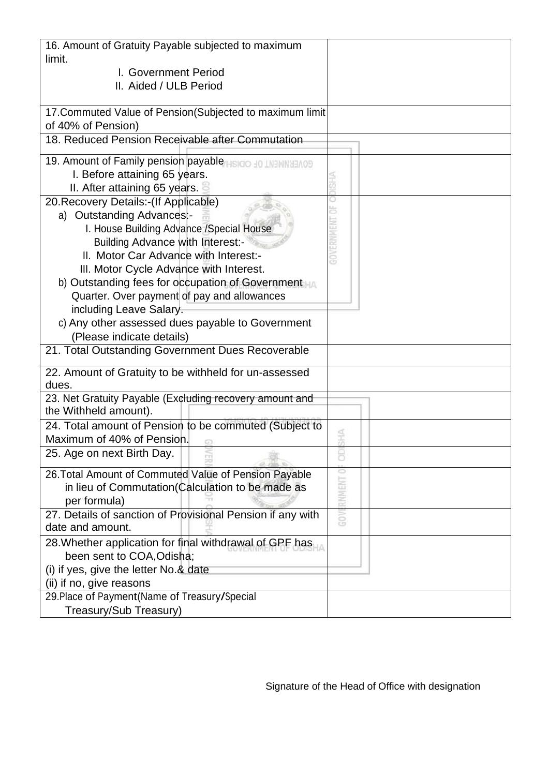| 16. Amount of Gratuity Payable subjected to maximum        |          |
|------------------------------------------------------------|----------|
| limit.                                                     |          |
| I. Government Period                                       |          |
| II. Aided / ULB Period                                     |          |
|                                                            |          |
| 17. Commuted Value of Pension (Subjected to maximum limit  |          |
| of 40% of Pension)                                         |          |
| 18. Reduced Pension Receivable after Commutation           |          |
| 19. Amount of Family pension payable as a so INTIMINATIOS  |          |
| I. Before attaining 65 years.                              |          |
| II. After attaining 65 years.                              |          |
| 20. Recovery Details:-(If Applicable)                      |          |
| a) Outstanding Advances:-                                  |          |
| I. House Building Advance / Special House                  |          |
| <b>Building Advance with Interest:-</b>                    |          |
| II. Motor Car Advance with Interest:-                      |          |
| III. Motor Cycle Advance with Interest.                    |          |
| b) Outstanding fees for occupation of Government           |          |
| Quarter. Over payment of pay and allowances                |          |
| including Leave Salary.                                    |          |
| c) Any other assessed dues payable to Government           |          |
| (Please indicate details)                                  |          |
| 21. Total Outstanding Government Dues Recoverable          |          |
| 22. Amount of Gratuity to be withheld for un-assessed      |          |
| dues.                                                      |          |
| 23. Net Gratuity Payable (Excluding recovery amount and    |          |
| the Withheld amount).                                      |          |
| 24. Total amount of Pension to be commuted (Subject to     |          |
| Maximum of 40% of Pension.                                 |          |
| 25. Age on next Birth Day.                                 |          |
| 26. Total Amount of Commuted Value of Pension Payable      |          |
| in lieu of Commutation (Calculation to be made as          | RNMENT O |
| per formula)                                               |          |
| 27. Details of sanction of Provisional Pension if any with | GOV!     |
| date and amount.                                           |          |
| 28. Whether application for final withdrawal of GPF has    |          |
| been sent to COA, Odisha;                                  |          |
| (i) if yes, give the letter No.& date                      |          |
| (ii) if no, give reasons                                   |          |
| 29. Place of Payment (Name of Treasury/Special             |          |
| Treasury/Sub Treasury)                                     |          |